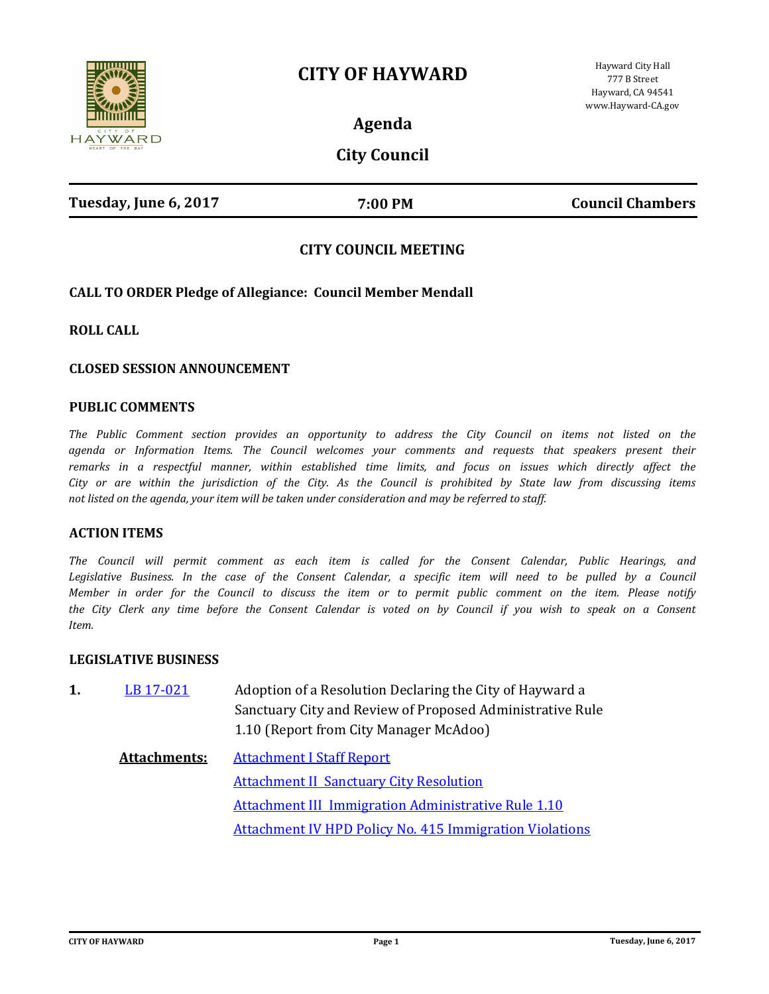# **CITY OF HAYWARD**



**Agenda**

# **City Council**

# **CITY COUNCIL MEETING**

# **CALL TO ORDER Pledge of Allegiance: Council Member Mendall**

**ROLL CALL**

#### **CLOSED SESSION ANNOUNCEMENT**

#### **PUBLIC COMMENTS**

*The Public Comment section provides an opportunity to address the City Council on items not listed on the agenda or Information Items. The Council welcomes your comments and requests that speakers present their remarks in a respectful manner, within established time limits, and focus on issues which directly affect the City or are within the jurisdiction of the City. As the Council is prohibited by State law from discussing items not listed on the agenda, your item will be taken under consideration and may be referred to staff.*

#### **ACTION ITEMS**

*The Council will permit comment as each item is called for the Consent Calendar, Public Hearings, and*  Legislative Business. In the case of the Consent Calendar, a specific item will need to be pulled by a Council *Member in order for the Council to discuss the item or to permit public comment on the item. Please notify the City Clerk any time before the Consent Calendar is voted on by Council if you wish to speak on a Consent Item.*

#### **LEGISLATIVE BUSINESS**

| LB 17-021 | Adoption of a Resolution Declaring the City of Hayward a  |
|-----------|-----------------------------------------------------------|
|           | Sanctuary City and Review of Proposed Administrative Rule |
|           | 1.10 (Report from City Manager McAdoo)                    |

**Attachments:** [Attachment I Staff Report](http://hayward.legistar.com/gateway.aspx?M=F&ID=cc336b3a-2004-4b14-951e-13b370526180.doc) [Attachment II Sanctuary City Resolution](http://hayward.legistar.com/gateway.aspx?M=F&ID=7e82416c-cd0f-4c39-8be3-5301cbb013e4.doc) [Attachment III Immigration Administrative Rule 1.10](http://hayward.legistar.com/gateway.aspx?M=F&ID=2026a38f-7378-4944-af97-3dc73d23e116.doc) [Attachment IV HPD Policy No. 415 Immigration Violations](http://hayward.legistar.com/gateway.aspx?M=F&ID=7d346a6f-7f20-43e2-9396-38459c1bb963.pdf)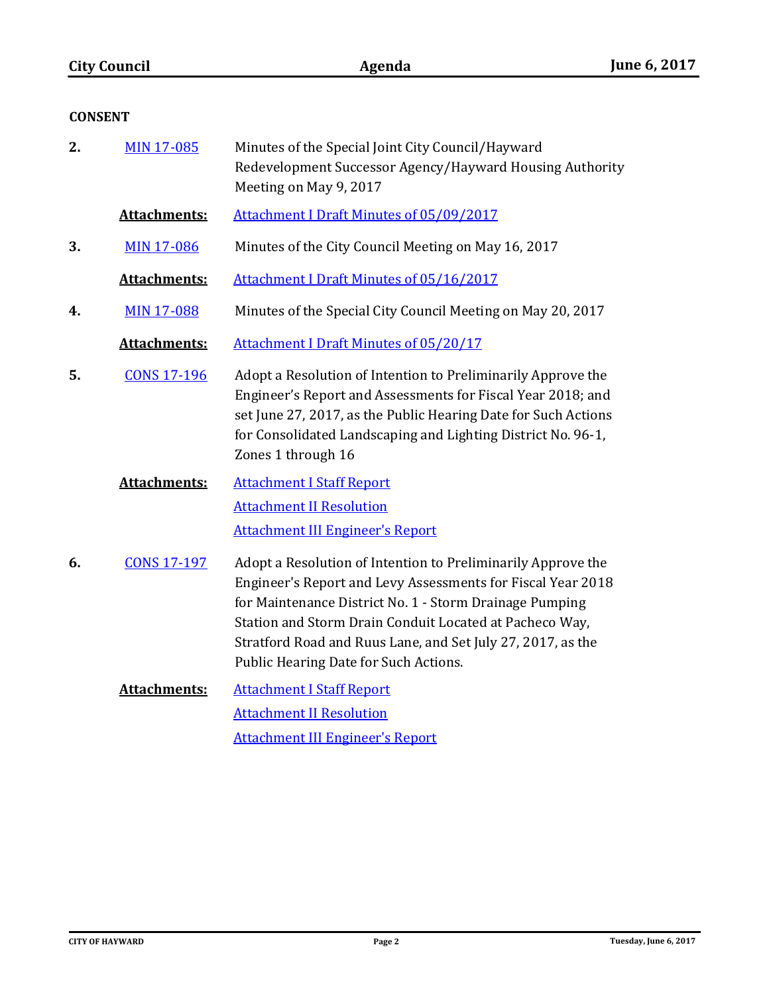# **CONSENT**

| 2. | <b>MIN 17-085</b>   | Minutes of the Special Joint City Council/Hayward<br>Redevelopment Successor Agency/Hayward Housing Authority<br>Meeting on May 9, 2017                                                                                                                                                                                                                   |
|----|---------------------|-----------------------------------------------------------------------------------------------------------------------------------------------------------------------------------------------------------------------------------------------------------------------------------------------------------------------------------------------------------|
|    | <b>Attachments:</b> | <b>Attachment I Draft Minutes of 05/09/2017</b>                                                                                                                                                                                                                                                                                                           |
| 3. | <b>MIN 17-086</b>   | Minutes of the City Council Meeting on May 16, 2017                                                                                                                                                                                                                                                                                                       |
|    | Attachments:        | <b>Attachment I Draft Minutes of 05/16/2017</b>                                                                                                                                                                                                                                                                                                           |
| 4. | <b>MIN 17-088</b>   | Minutes of the Special City Council Meeting on May 20, 2017                                                                                                                                                                                                                                                                                               |
|    | Attachments:        | <b>Attachment I Draft Minutes of 05/20/17</b>                                                                                                                                                                                                                                                                                                             |
| 5. | <b>CONS 17-196</b>  | Adopt a Resolution of Intention to Preliminarily Approve the<br>Engineer's Report and Assessments for Fiscal Year 2018; and<br>set June 27, 2017, as the Public Hearing Date for Such Actions<br>for Consolidated Landscaping and Lighting District No. 96-1,<br>Zones 1 through 16                                                                       |
|    | <b>Attachments:</b> | <b>Attachment I Staff Report</b><br><b>Attachment II Resolution</b><br><b>Attachment III Engineer's Report</b>                                                                                                                                                                                                                                            |
| 6. | <b>CONS 17-197</b>  | Adopt a Resolution of Intention to Preliminarily Approve the<br>Engineer's Report and Levy Assessments for Fiscal Year 2018<br>for Maintenance District No. 1 - Storm Drainage Pumping<br>Station and Storm Drain Conduit Located at Pacheco Way,<br>Stratford Road and Ruus Lane, and Set July 27, 2017, as the<br>Public Hearing Date for Such Actions. |
|    | Attachments:        | <b>Attachment I Staff Report</b>                                                                                                                                                                                                                                                                                                                          |

[Attachment II Resolution](http://hayward.legistar.com/gateway.aspx?M=F&ID=c01a6fdb-6624-44f9-a9ac-dcb7e57f7a2b.docx) [Attachment III Engineer's Report](http://hayward.legistar.com/gateway.aspx?M=F&ID=37dfbb94-57d3-44e0-a02c-502a8d261c5e.pdf)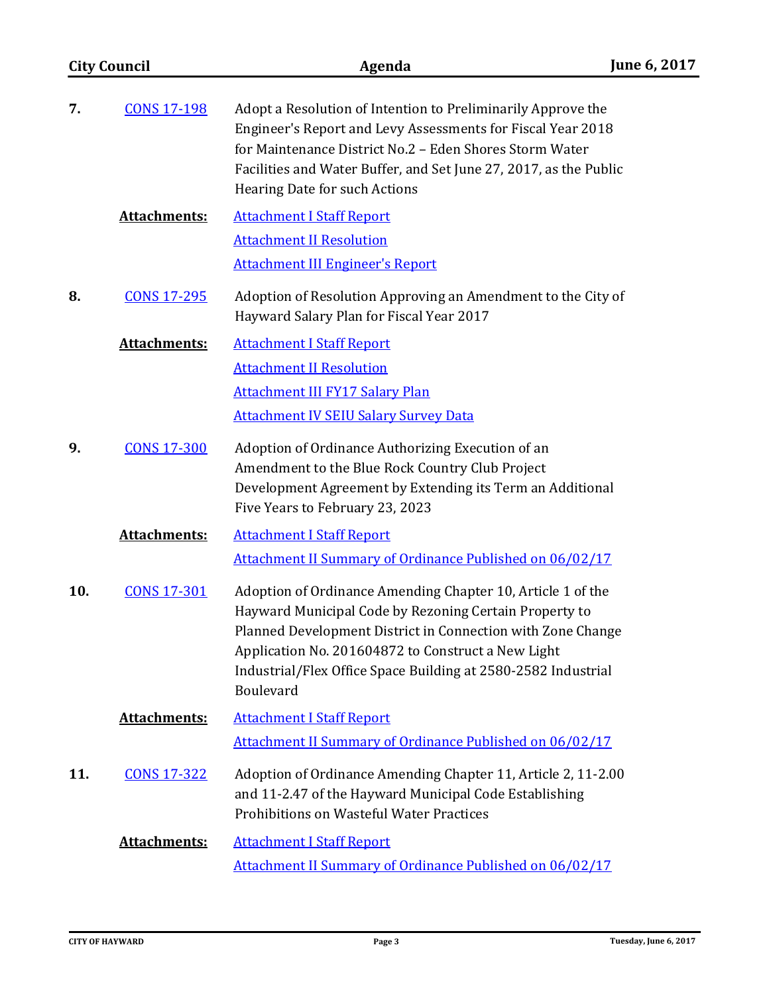| <b>City Council</b> |                     | Agenda                                                                                                                                                                                                                                                                                                                   | June 6, 2017 |
|---------------------|---------------------|--------------------------------------------------------------------------------------------------------------------------------------------------------------------------------------------------------------------------------------------------------------------------------------------------------------------------|--------------|
| 7.                  | <b>CONS 17-198</b>  | Adopt a Resolution of Intention to Preliminarily Approve the<br>Engineer's Report and Levy Assessments for Fiscal Year 2018<br>for Maintenance District No.2 - Eden Shores Storm Water<br>Facilities and Water Buffer, and Set June 27, 2017, as the Public<br>Hearing Date for such Actions                             |              |
|                     | <b>Attachments:</b> | <b>Attachment I Staff Report</b><br><b>Attachment II Resolution</b>                                                                                                                                                                                                                                                      |              |
|                     |                     | <b>Attachment III Engineer's Report</b>                                                                                                                                                                                                                                                                                  |              |
| 8.                  | <b>CONS 17-295</b>  | Adoption of Resolution Approving an Amendment to the City of<br>Hayward Salary Plan for Fiscal Year 2017                                                                                                                                                                                                                 |              |
|                     | <b>Attachments:</b> | <b>Attachment I Staff Report</b>                                                                                                                                                                                                                                                                                         |              |
|                     |                     | <b>Attachment II Resolution</b>                                                                                                                                                                                                                                                                                          |              |
|                     |                     | <b>Attachment III FY17 Salary Plan</b>                                                                                                                                                                                                                                                                                   |              |
|                     |                     | <b>Attachment IV SEIU Salary Survey Data</b>                                                                                                                                                                                                                                                                             |              |
| 9.                  | <b>CONS 17-300</b>  | Adoption of Ordinance Authorizing Execution of an<br>Amendment to the Blue Rock Country Club Project<br>Development Agreement by Extending its Term an Additional<br>Five Years to February 23, 2023                                                                                                                     |              |
|                     | <b>Attachments:</b> | <b>Attachment I Staff Report</b>                                                                                                                                                                                                                                                                                         |              |
|                     |                     | Attachment II Summary of Ordinance Published on 06/02/17                                                                                                                                                                                                                                                                 |              |
| 10.                 | <b>CONS 17-301</b>  | Adoption of Ordinance Amending Chapter 10, Article 1 of the<br>Hayward Municipal Code by Rezoning Certain Property to<br>Planned Development District in Connection with Zone Change<br>Application No. 201604872 to Construct a New Light<br>Industrial/Flex Office Space Building at 2580-2582 Industrial<br>Boulevard |              |
|                     | <b>Attachments:</b> | <b>Attachment I Staff Report</b>                                                                                                                                                                                                                                                                                         |              |
|                     |                     | <b>Attachment II Summary of Ordinance Published on 06/02/17</b>                                                                                                                                                                                                                                                          |              |
| 11.                 | <b>CONS 17-322</b>  | Adoption of Ordinance Amending Chapter 11, Article 2, 11-2.00<br>and 11-2.47 of the Hayward Municipal Code Establishing<br>Prohibitions on Wasteful Water Practices                                                                                                                                                      |              |
|                     | Attachments:        | <b>Attachment I Staff Report</b>                                                                                                                                                                                                                                                                                         |              |
|                     |                     | <b>Attachment II Summary of Ordinance Published on 06/02/17</b>                                                                                                                                                                                                                                                          |              |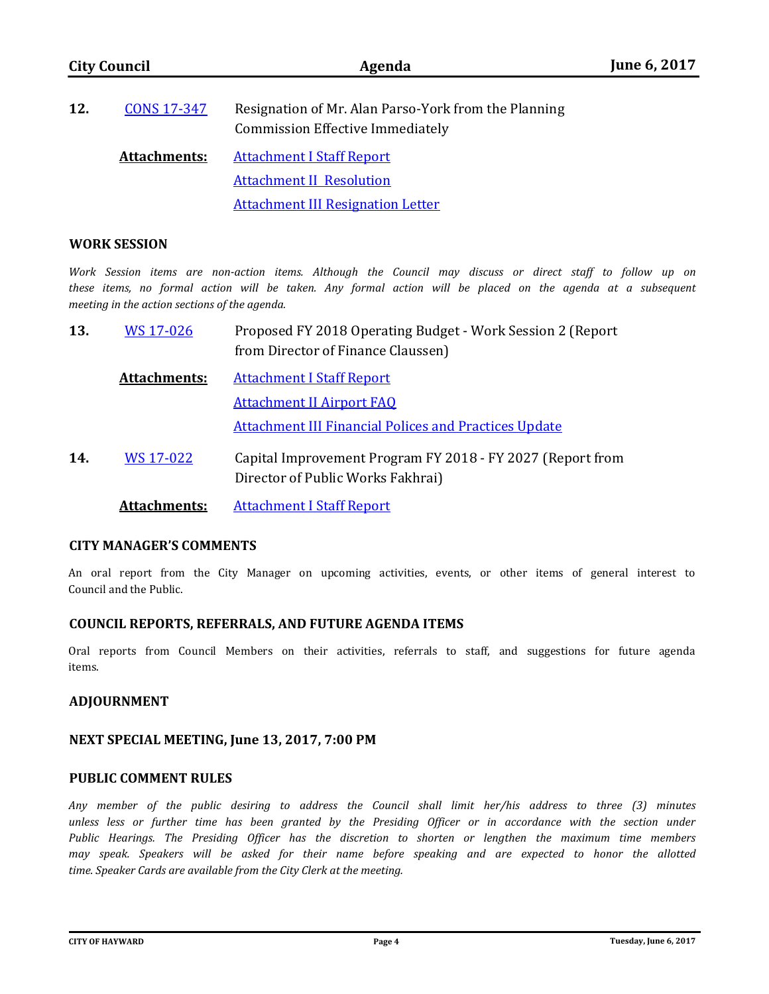| 12. | CONS 17-347         | Resignation of Mr. Alan Parso-York from the Planning<br><b>Commission Effective Immediately</b> |
|-----|---------------------|-------------------------------------------------------------------------------------------------|
|     | <b>Attachments:</b> | <u>Attachment I Staff Report</u>                                                                |
|     |                     | <b>Attachment II Resolution</b>                                                                 |

[Attachment III Resignation Letter](http://hayward.legistar.com/gateway.aspx?M=F&ID=d2dc9fa9-ef7c-4a61-84bd-cb41a6ad8834.pdf)

#### **WORK SESSION**

*Work Session items are non-action items. Although the Council may discuss or direct staff to follow up on these items, no formal action will be taken. Any formal action will be placed on the agenda at a subsequent meeting in the action sections of the agenda.*

| 13. | WS 17-026           | Proposed FY 2018 Operating Budget - Work Session 2 (Report<br>from Director of Finance Claussen) |
|-----|---------------------|--------------------------------------------------------------------------------------------------|
|     | <b>Attachments:</b> | <b>Attachment I Staff Report</b>                                                                 |
|     |                     | <b>Attachment II Airport FAO</b>                                                                 |
|     |                     | <b>Attachment III Financial Polices and Practices Update</b>                                     |
| 14. | WS 17-022           | Capital Improvement Program FY 2018 - FY 2027 (Report from<br>Director of Public Works Fakhrai)  |
|     | Attachments:        | <b>Attachment I Staff Report</b>                                                                 |

#### **CITY MANAGER'S COMMENTS**

An oral report from the City Manager on upcoming activities, events, or other items of general interest to Council and the Public.

### **COUNCIL REPORTS, REFERRALS, AND FUTURE AGENDA ITEMS**

Oral reports from Council Members on their activities, referrals to staff, and suggestions for future agenda items.

### **ADJOURNMENT**

#### **NEXT SPECIAL MEETING, June 13, 2017, 7:00 PM**

#### **PUBLIC COMMENT RULES**

*Any member of the public desiring to address the Council shall limit her/his address to three (3) minutes*  unless less or further time has been granted by the Presiding Officer or in accordance with the section under *Public Hearings. The Presiding Officer has the discretion to shorten or lengthen the maximum time members may speak. Speakers will be asked for their name before speaking and are expected to honor the allotted time. Speaker Cards are available from the City Clerk at the meeting.*